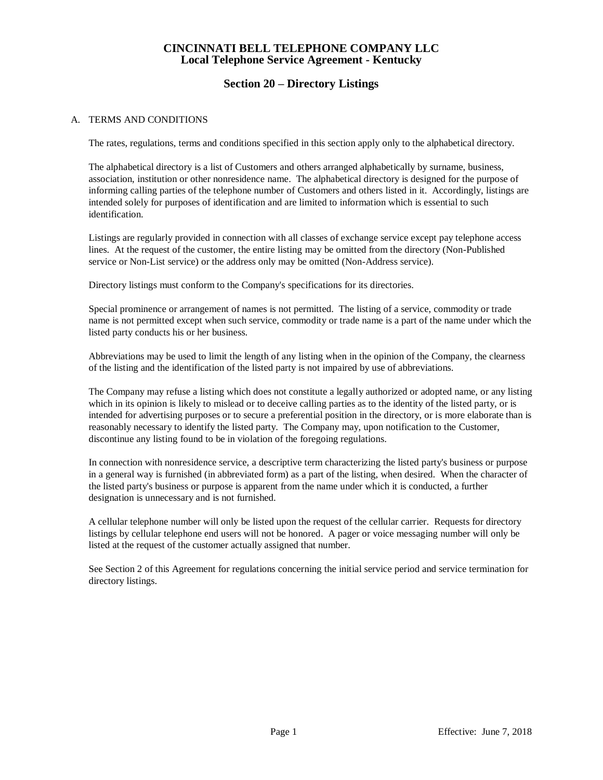### **Section 20 – Directory Listings**

#### A. TERMS AND CONDITIONS

The rates, regulations, terms and conditions specified in this section apply only to the alphabetical directory.

The alphabetical directory is a list of Customers and others arranged alphabetically by surname, business, association, institution or other nonresidence name. The alphabetical directory is designed for the purpose of informing calling parties of the telephone number of Customers and others listed in it. Accordingly, listings are intended solely for purposes of identification and are limited to information which is essential to such identification.

Listings are regularly provided in connection with all classes of exchange service except pay telephone access lines. At the request of the customer, the entire listing may be omitted from the directory (Non-Published service or Non-List service) or the address only may be omitted (Non-Address service).

Directory listings must conform to the Company's specifications for its directories.

Special prominence or arrangement of names is not permitted. The listing of a service, commodity or trade name is not permitted except when such service, commodity or trade name is a part of the name under which the listed party conducts his or her business.

Abbreviations may be used to limit the length of any listing when in the opinion of the Company, the clearness of the listing and the identification of the listed party is not impaired by use of abbreviations.

The Company may refuse a listing which does not constitute a legally authorized or adopted name, or any listing which in its opinion is likely to mislead or to deceive calling parties as to the identity of the listed party, or is intended for advertising purposes or to secure a preferential position in the directory, or is more elaborate than is reasonably necessary to identify the listed party. The Company may, upon notification to the Customer, discontinue any listing found to be in violation of the foregoing regulations.

In connection with nonresidence service, a descriptive term characterizing the listed party's business or purpose in a general way is furnished (in abbreviated form) as a part of the listing, when desired. When the character of the listed party's business or purpose is apparent from the name under which it is conducted, a further designation is unnecessary and is not furnished.

A cellular telephone number will only be listed upon the request of the cellular carrier. Requests for directory listings by cellular telephone end users will not be honored. A pager or voice messaging number will only be listed at the request of the customer actually assigned that number.

See Section 2 of this Agreement for regulations concerning the initial service period and service termination for directory listings.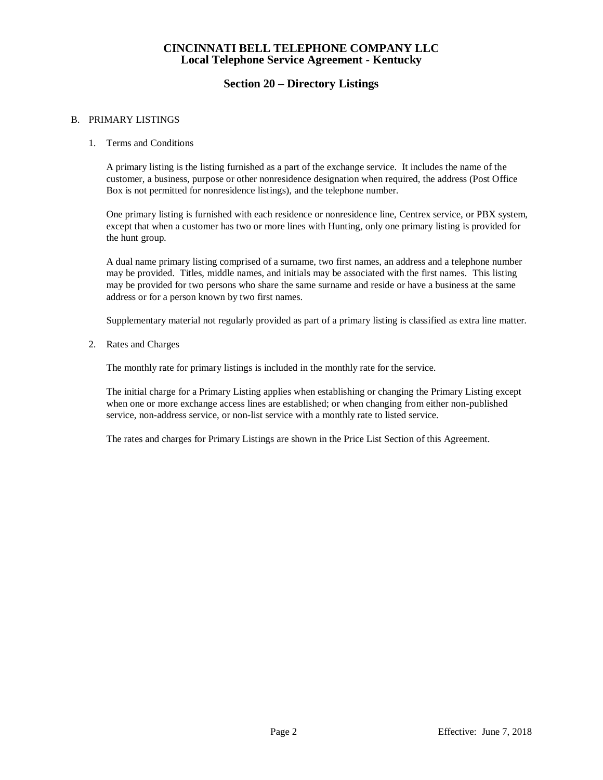### **Section 20 – Directory Listings**

#### B. PRIMARY LISTINGS

1. Terms and Conditions

A primary listing is the listing furnished as a part of the exchange service. It includes the name of the customer, a business, purpose or other nonresidence designation when required, the address (Post Office Box is not permitted for nonresidence listings), and the telephone number.

One primary listing is furnished with each residence or nonresidence line, Centrex service, or PBX system, except that when a customer has two or more lines with Hunting, only one primary listing is provided for the hunt group.

A dual name primary listing comprised of a surname, two first names, an address and a telephone number may be provided. Titles, middle names, and initials may be associated with the first names. This listing may be provided for two persons who share the same surname and reside or have a business at the same address or for a person known by two first names.

Supplementary material not regularly provided as part of a primary listing is classified as extra line matter.

2. Rates and Charges

The monthly rate for primary listings is included in the monthly rate for the service.

The initial charge for a Primary Listing applies when establishing or changing the Primary Listing except when one or more exchange access lines are established; or when changing from either non-published service, non-address service, or non-list service with a monthly rate to listed service.

The rates and charges for Primary Listings are shown in the Price List Section of this Agreement.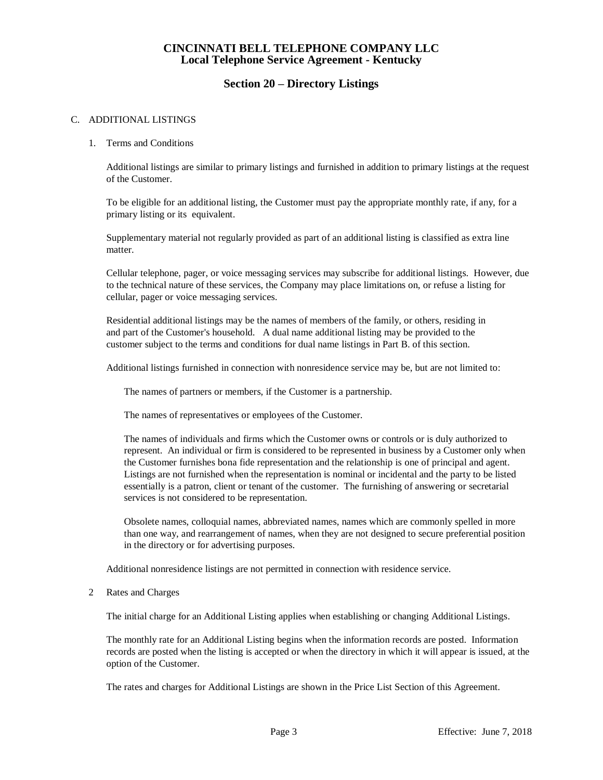#### **Section 20 – Directory Listings**

#### C. ADDITIONAL LISTINGS

#### 1. Terms and Conditions

Additional listings are similar to primary listings and furnished in addition to primary listings at the request of the Customer.

To be eligible for an additional listing, the Customer must pay the appropriate monthly rate, if any, for a primary listing or its equivalent.

Supplementary material not regularly provided as part of an additional listing is classified as extra line matter.

Cellular telephone, pager, or voice messaging services may subscribe for additional listings. However, due to the technical nature of these services, the Company may place limitations on, or refuse a listing for cellular, pager or voice messaging services.

Residential additional listings may be the names of members of the family, or others, residing in and part of the Customer's household. A dual name additional listing may be provided to the customer subject to the terms and conditions for dual name listings in Part B. of this section.

Additional listings furnished in connection with nonresidence service may be, but are not limited to:

The names of partners or members, if the Customer is a partnership.

The names of representatives or employees of the Customer.

The names of individuals and firms which the Customer owns or controls or is duly authorized to represent. An individual or firm is considered to be represented in business by a Customer only when the Customer furnishes bona fide representation and the relationship is one of principal and agent. Listings are not furnished when the representation is nominal or incidental and the party to be listed essentially is a patron, client or tenant of the customer. The furnishing of answering or secretarial services is not considered to be representation.

Obsolete names, colloquial names, abbreviated names, names which are commonly spelled in more than one way, and rearrangement of names, when they are not designed to secure preferential position in the directory or for advertising purposes.

Additional nonresidence listings are not permitted in connection with residence service.

#### 2 Rates and Charges

The initial charge for an Additional Listing applies when establishing or changing Additional Listings.

The monthly rate for an Additional Listing begins when the information records are posted. Information records are posted when the listing is accepted or when the directory in which it will appear is issued, at the option of the Customer.

The rates and charges for Additional Listings are shown in the Price List Section of this Agreement.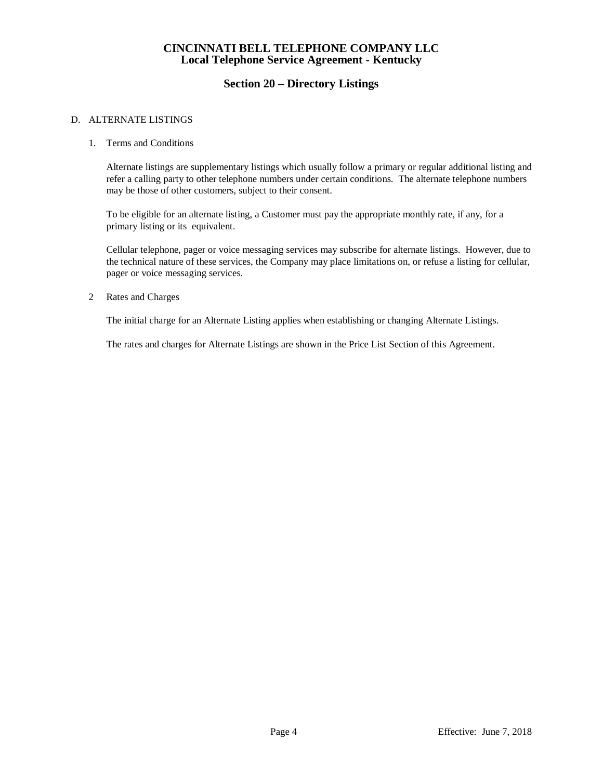### **Section 20 – Directory Listings**

#### D. ALTERNATE LISTINGS

#### 1. Terms and Conditions

Alternate listings are supplementary listings which usually follow a primary or regular additional listing and refer a calling party to other telephone numbers under certain conditions. The alternate telephone numbers may be those of other customers, subject to their consent.

To be eligible for an alternate listing, a Customer must pay the appropriate monthly rate, if any, for a primary listing or its equivalent.

Cellular telephone, pager or voice messaging services may subscribe for alternate listings. However, due to the technical nature of these services, the Company may place limitations on, or refuse a listing for cellular, pager or voice messaging services.

2 Rates and Charges

The initial charge for an Alternate Listing applies when establishing or changing Alternate Listings.

The rates and charges for Alternate Listings are shown in the Price List Section of this Agreement.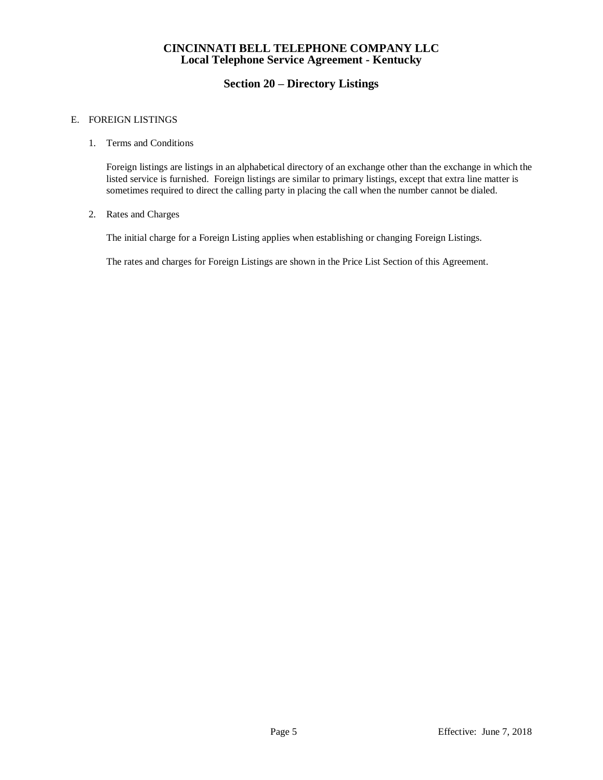## **Section 20 – Directory Listings**

#### E. FOREIGN LISTINGS

#### 1. Terms and Conditions

Foreign listings are listings in an alphabetical directory of an exchange other than the exchange in which the listed service is furnished. Foreign listings are similar to primary listings, except that extra line matter is sometimes required to direct the calling party in placing the call when the number cannot be dialed.

#### 2. Rates and Charges

The initial charge for a Foreign Listing applies when establishing or changing Foreign Listings.

The rates and charges for Foreign Listings are shown in the Price List Section of this Agreement.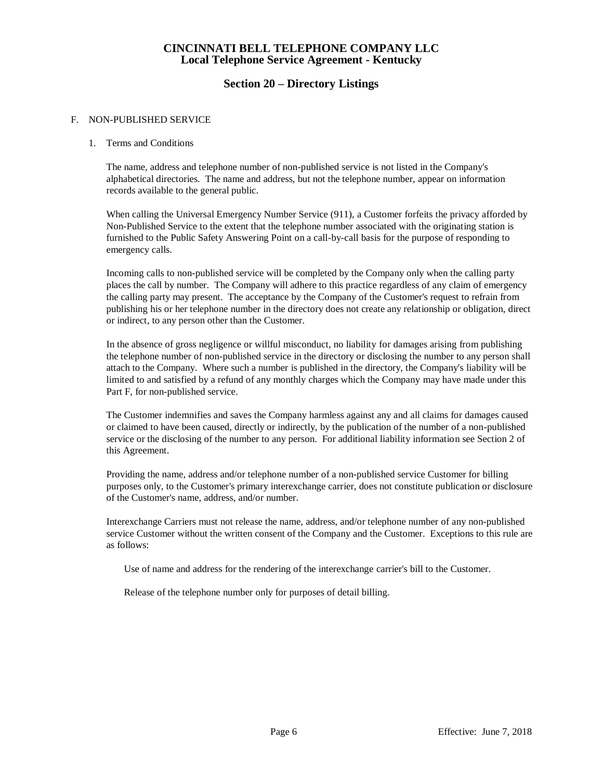### **Section 20 – Directory Listings**

#### F. NON-PUBLISHED SERVICE

#### 1. Terms and Conditions

The name, address and telephone number of non-published service is not listed in the Company's alphabetical directories. The name and address, but not the telephone number, appear on information records available to the general public.

When calling the Universal Emergency Number Service (911), a Customer forfeits the privacy afforded by Non-Published Service to the extent that the telephone number associated with the originating station is furnished to the Public Safety Answering Point on a call-by-call basis for the purpose of responding to emergency calls.

Incoming calls to non-published service will be completed by the Company only when the calling party places the call by number. The Company will adhere to this practice regardless of any claim of emergency the calling party may present. The acceptance by the Company of the Customer's request to refrain from publishing his or her telephone number in the directory does not create any relationship or obligation, direct or indirect, to any person other than the Customer.

In the absence of gross negligence or willful misconduct, no liability for damages arising from publishing the telephone number of non-published service in the directory or disclosing the number to any person shall attach to the Company. Where such a number is published in the directory, the Company's liability will be limited to and satisfied by a refund of any monthly charges which the Company may have made under this Part F, for non-published service.

The Customer indemnifies and saves the Company harmless against any and all claims for damages caused or claimed to have been caused, directly or indirectly, by the publication of the number of a non-published service or the disclosing of the number to any person. For additional liability information see Section 2 of this Agreement.

Providing the name, address and/or telephone number of a non-published service Customer for billing purposes only, to the Customer's primary interexchange carrier, does not constitute publication or disclosure of the Customer's name, address, and/or number.

Interexchange Carriers must not release the name, address, and/or telephone number of any non-published service Customer without the written consent of the Company and the Customer. Exceptions to this rule are as follows:

Use of name and address for the rendering of the interexchange carrier's bill to the Customer.

Release of the telephone number only for purposes of detail billing.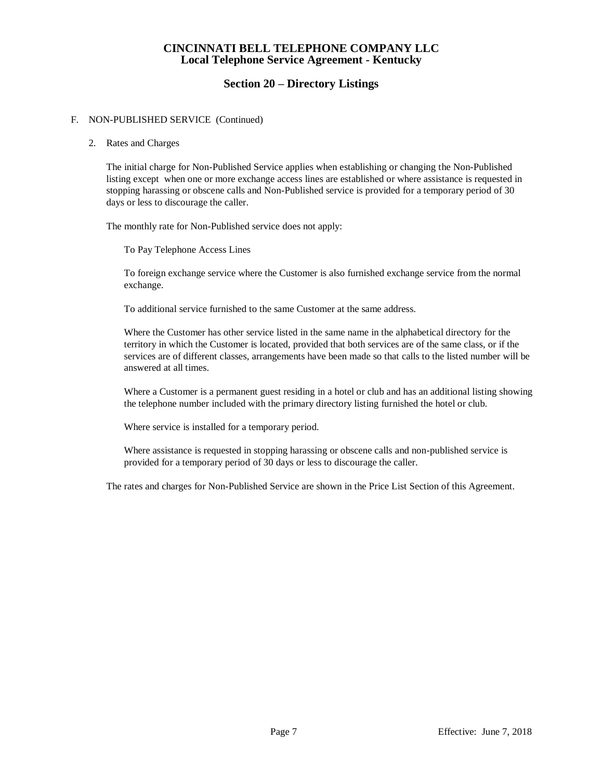### **Section 20 – Directory Listings**

#### F. NON-PUBLISHED SERVICE (Continued)

#### 2. Rates and Charges

The initial charge for Non-Published Service applies when establishing or changing the Non-Published listing except when one or more exchange access lines are established or where assistance is requested in stopping harassing or obscene calls and Non-Published service is provided for a temporary period of 30 days or less to discourage the caller.

The monthly rate for Non-Published service does not apply:

To Pay Telephone Access Lines

To foreign exchange service where the Customer is also furnished exchange service from the normal exchange.

To additional service furnished to the same Customer at the same address.

Where the Customer has other service listed in the same name in the alphabetical directory for the territory in which the Customer is located, provided that both services are of the same class, or if the services are of different classes, arrangements have been made so that calls to the listed number will be answered at all times.

Where a Customer is a permanent guest residing in a hotel or club and has an additional listing showing the telephone number included with the primary directory listing furnished the hotel or club.

Where service is installed for a temporary period.

Where assistance is requested in stopping harassing or obscene calls and non-published service is provided for a temporary period of 30 days or less to discourage the caller.

The rates and charges for Non-Published Service are shown in the Price List Section of this Agreement.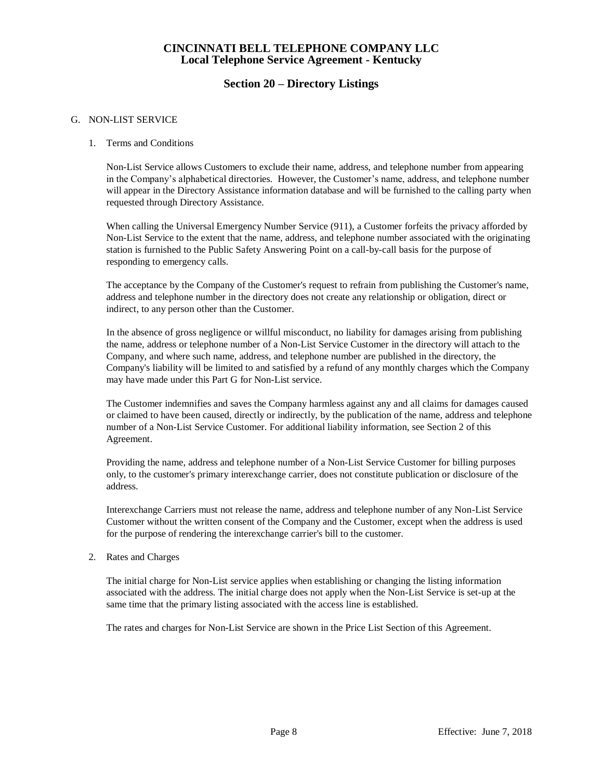### **Section 20 – Directory Listings**

#### G. NON-LIST SERVICE

#### 1. Terms and Conditions

Non-List Service allows Customers to exclude their name, address, and telephone number from appearing in the Company's alphabetical directories. However, the Customer's name, address, and telephone number will appear in the Directory Assistance information database and will be furnished to the calling party when requested through Directory Assistance.

When calling the Universal Emergency Number Service (911), a Customer forfeits the privacy afforded by Non-List Service to the extent that the name, address, and telephone number associated with the originating station is furnished to the Public Safety Answering Point on a call-by-call basis for the purpose of responding to emergency calls.

The acceptance by the Company of the Customer's request to refrain from publishing the Customer's name, address and telephone number in the directory does not create any relationship or obligation, direct or indirect, to any person other than the Customer.

In the absence of gross negligence or willful misconduct, no liability for damages arising from publishing the name, address or telephone number of a Non-List Service Customer in the directory will attach to the Company, and where such name, address, and telephone number are published in the directory, the Company's liability will be limited to and satisfied by a refund of any monthly charges which the Company may have made under this Part G for Non-List service.

The Customer indemnifies and saves the Company harmless against any and all claims for damages caused or claimed to have been caused, directly or indirectly, by the publication of the name, address and telephone number of a Non-List Service Customer. For additional liability information, see Section 2 of this Agreement.

Providing the name, address and telephone number of a Non-List Service Customer for billing purposes only, to the customer's primary interexchange carrier, does not constitute publication or disclosure of the address.

Interexchange Carriers must not release the name, address and telephone number of any Non-List Service Customer without the written consent of the Company and the Customer, except when the address is used for the purpose of rendering the interexchange carrier's bill to the customer.

2. Rates and Charges

The initial charge for Non-List service applies when establishing or changing the listing information associated with the address. The initial charge does not apply when the Non-List Service is set-up at the same time that the primary listing associated with the access line is established.

The rates and charges for Non-List Service are shown in the Price List Section of this Agreement.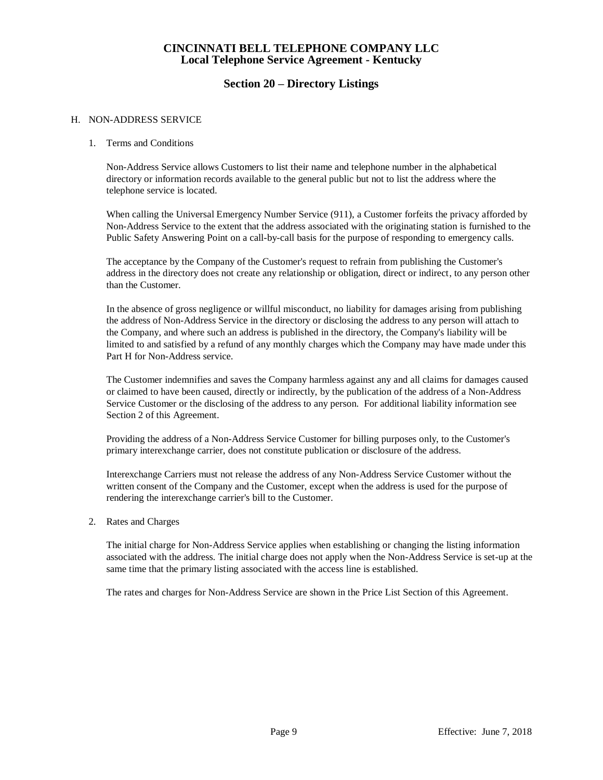### **Section 20 – Directory Listings**

#### H. NON-ADDRESS SERVICE

#### 1. Terms and Conditions

Non-Address Service allows Customers to list their name and telephone number in the alphabetical directory or information records available to the general public but not to list the address where the telephone service is located.

When calling the Universal Emergency Number Service (911), a Customer forfeits the privacy afforded by Non-Address Service to the extent that the address associated with the originating station is furnished to the Public Safety Answering Point on a call-by-call basis for the purpose of responding to emergency calls.

The acceptance by the Company of the Customer's request to refrain from publishing the Customer's address in the directory does not create any relationship or obligation, direct or indirect, to any person other than the Customer.

In the absence of gross negligence or willful misconduct, no liability for damages arising from publishing the address of Non-Address Service in the directory or disclosing the address to any person will attach to the Company, and where such an address is published in the directory, the Company's liability will be limited to and satisfied by a refund of any monthly charges which the Company may have made under this Part H for Non-Address service.

The Customer indemnifies and saves the Company harmless against any and all claims for damages caused or claimed to have been caused, directly or indirectly, by the publication of the address of a Non-Address Service Customer or the disclosing of the address to any person. For additional liability information see Section 2 of this Agreement.

Providing the address of a Non-Address Service Customer for billing purposes only, to the Customer's primary interexchange carrier, does not constitute publication or disclosure of the address.

Interexchange Carriers must not release the address of any Non-Address Service Customer without the written consent of the Company and the Customer, except when the address is used for the purpose of rendering the interexchange carrier's bill to the Customer.

2. Rates and Charges

The initial charge for Non-Address Service applies when establishing or changing the listing information associated with the address. The initial charge does not apply when the Non-Address Service is set-up at the same time that the primary listing associated with the access line is established.

The rates and charges for Non-Address Service are shown in the Price List Section of this Agreement.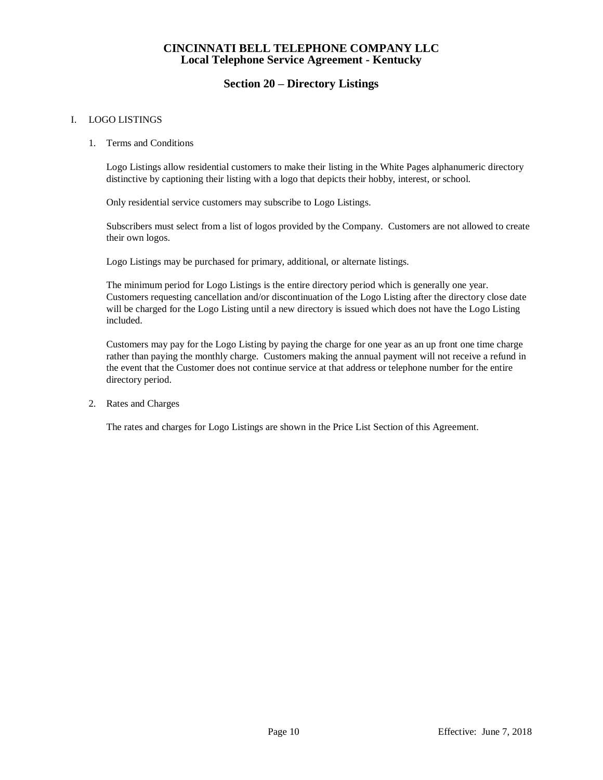## **Section 20 – Directory Listings**

#### I. LOGO LISTINGS

1. Terms and Conditions

Logo Listings allow residential customers to make their listing in the White Pages alphanumeric directory distinctive by captioning their listing with a logo that depicts their hobby, interest, or school.

Only residential service customers may subscribe to Logo Listings.

Subscribers must select from a list of logos provided by the Company. Customers are not allowed to create their own logos.

Logo Listings may be purchased for primary, additional, or alternate listings.

The minimum period for Logo Listings is the entire directory period which is generally one year. Customers requesting cancellation and/or discontinuation of the Logo Listing after the directory close date will be charged for the Logo Listing until a new directory is issued which does not have the Logo Listing included.

Customers may pay for the Logo Listing by paying the charge for one year as an up front one time charge rather than paying the monthly charge. Customers making the annual payment will not receive a refund in the event that the Customer does not continue service at that address or telephone number for the entire directory period.

2. Rates and Charges

The rates and charges for Logo Listings are shown in the Price List Section of this Agreement.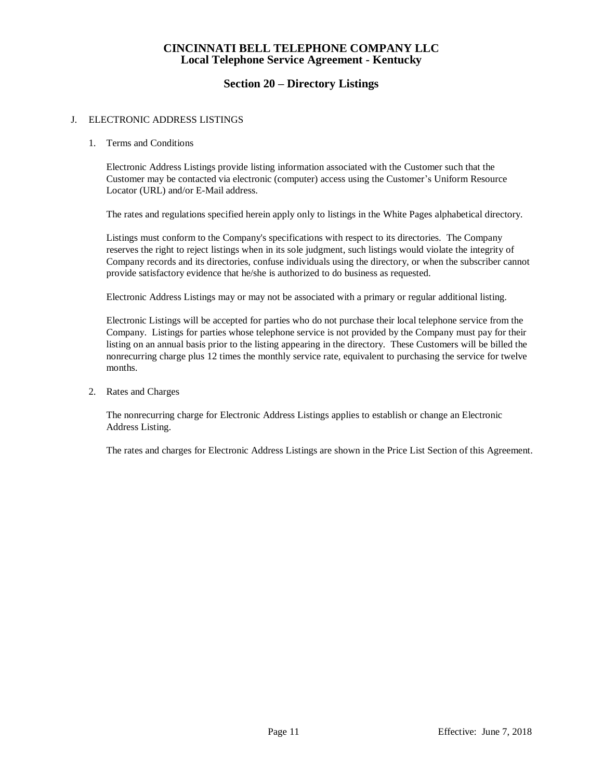### **Section 20 – Directory Listings**

#### J. ELECTRONIC ADDRESS LISTINGS

#### 1. Terms and Conditions

Electronic Address Listings provide listing information associated with the Customer such that the Customer may be contacted via electronic (computer) access using the Customer's Uniform Resource Locator (URL) and/or E-Mail address.

The rates and regulations specified herein apply only to listings in the White Pages alphabetical directory.

Listings must conform to the Company's specifications with respect to its directories. The Company reserves the right to reject listings when in its sole judgment, such listings would violate the integrity of Company records and its directories, confuse individuals using the directory, or when the subscriber cannot provide satisfactory evidence that he/she is authorized to do business as requested.

Electronic Address Listings may or may not be associated with a primary or regular additional listing.

Electronic Listings will be accepted for parties who do not purchase their local telephone service from the Company. Listings for parties whose telephone service is not provided by the Company must pay for their listing on an annual basis prior to the listing appearing in the directory. These Customers will be billed the nonrecurring charge plus 12 times the monthly service rate, equivalent to purchasing the service for twelve months.

2. Rates and Charges

The nonrecurring charge for Electronic Address Listings applies to establish or change an Electronic Address Listing.

The rates and charges for Electronic Address Listings are shown in the Price List Section of this Agreement.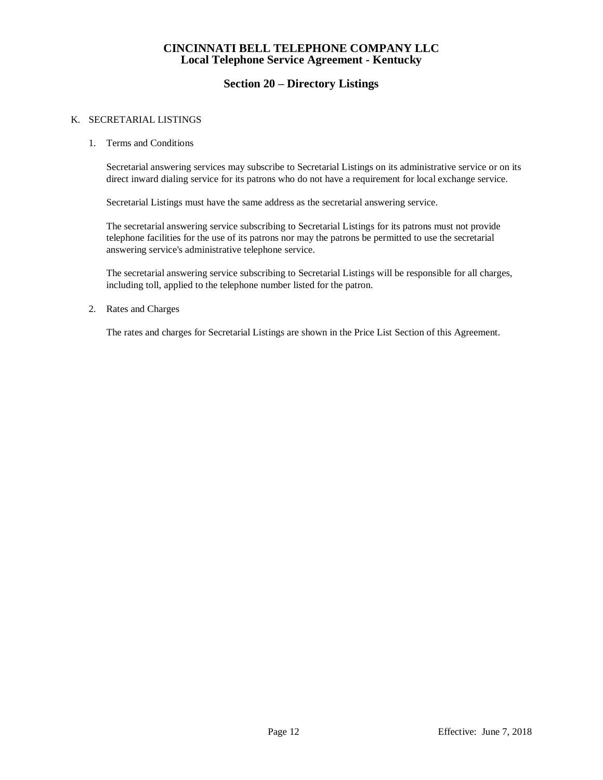### **Section 20 – Directory Listings**

#### K. SECRETARIAL LISTINGS

1. Terms and Conditions

Secretarial answering services may subscribe to Secretarial Listings on its administrative service or on its direct inward dialing service for its patrons who do not have a requirement for local exchange service.

Secretarial Listings must have the same address as the secretarial answering service.

The secretarial answering service subscribing to Secretarial Listings for its patrons must not provide telephone facilities for the use of its patrons nor may the patrons be permitted to use the secretarial answering service's administrative telephone service.

The secretarial answering service subscribing to Secretarial Listings will be responsible for all charges, including toll, applied to the telephone number listed for the patron.

2. Rates and Charges

The rates and charges for Secretarial Listings are shown in the Price List Section of this Agreement.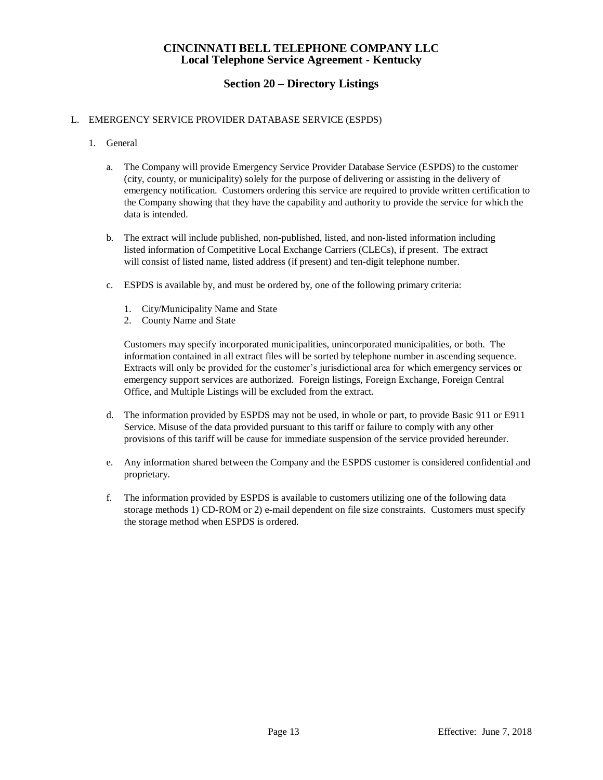## **Section 20 – Directory Listings**

#### L. EMERGENCY SERVICE PROVIDER DATABASE SERVICE (ESPDS)

- 1. General
	- a. The Company will provide Emergency Service Provider Database Service (ESPDS) to the customer (city, county, or municipality) solely for the purpose of delivering or assisting in the delivery of emergency notification. Customers ordering this service are required to provide written certification to the Company showing that they have the capability and authority to provide the service for which the data is intended.
	- b. The extract will include published, non-published, listed, and non-listed information including listed information of Competitive Local Exchange Carriers (CLECs), if present. The extract will consist of listed name, listed address (if present) and ten-digit telephone number.
	- c. ESPDS is available by, and must be ordered by, one of the following primary criteria:
		- 1. City/Municipality Name and State
		- 2. County Name and State

Customers may specify incorporated municipalities, unincorporated municipalities, or both. The information contained in all extract files will be sorted by telephone number in ascending sequence. Extracts will only be provided for the customer's jurisdictional area for which emergency services or emergency support services are authorized. Foreign listings, Foreign Exchange, Foreign Central Office, and Multiple Listings will be excluded from the extract.

- d. The information provided by ESPDS may not be used, in whole or part, to provide Basic 911 or E911 Service. Misuse of the data provided pursuant to this tariff or failure to comply with any other provisions of this tariff will be cause for immediate suspension of the service provided hereunder.
- e. Any information shared between the Company and the ESPDS customer is considered confidential and proprietary.
- f. The information provided by ESPDS is available to customers utilizing one of the following data storage methods 1) CD-ROM or 2) e-mail dependent on file size constraints. Customers must specify the storage method when ESPDS is ordered.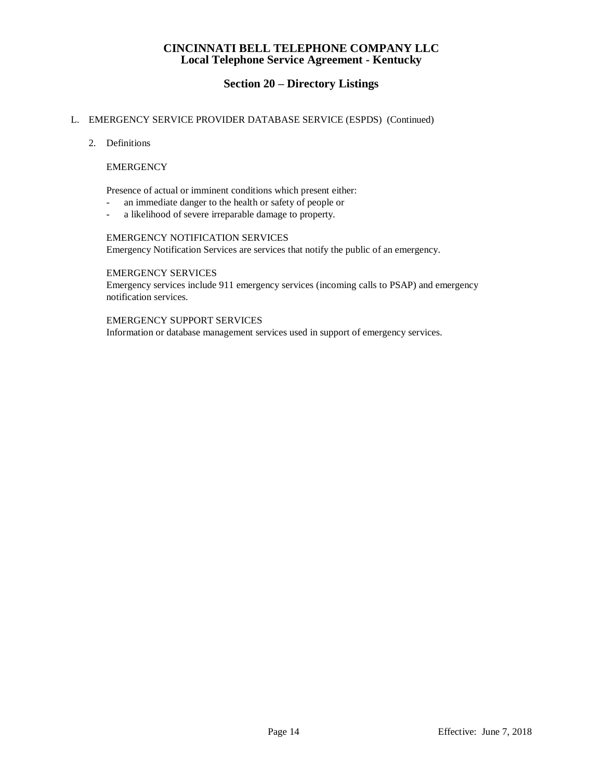## **Section 20 – Directory Listings**

#### L. EMERGENCY SERVICE PROVIDER DATABASE SERVICE (ESPDS) (Continued)

2. Definitions

#### **EMERGENCY**

Presence of actual or imminent conditions which present either:

- an immediate danger to the health or safety of people or
- a likelihood of severe irreparable damage to property.

#### EMERGENCY NOTIFICATION SERVICES

Emergency Notification Services are services that notify the public of an emergency.

#### EMERGENCY SERVICES

Emergency services include 911 emergency services (incoming calls to PSAP) and emergency notification services.

#### EMERGENCY SUPPORT SERVICES

Information or database management services used in support of emergency services.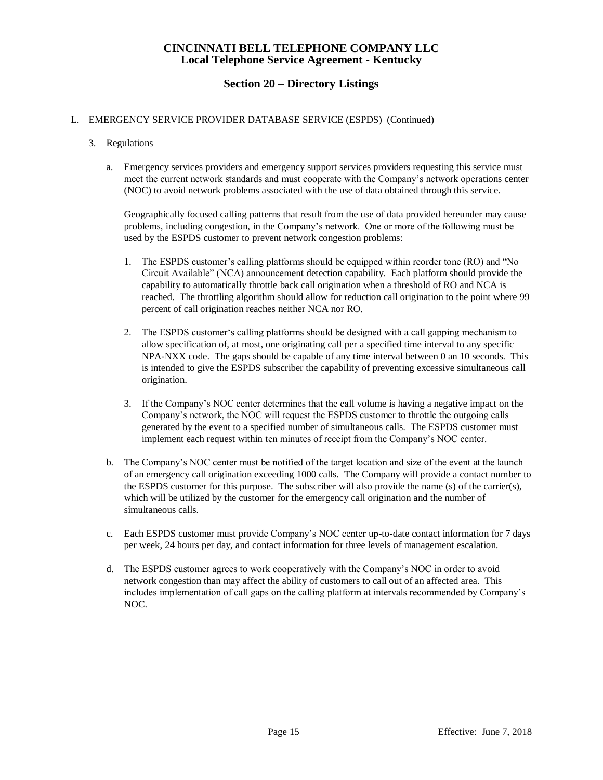## **Section 20 – Directory Listings**

#### L. EMERGENCY SERVICE PROVIDER DATABASE SERVICE (ESPDS) (Continued)

- 3. Regulations
	- a. Emergency services providers and emergency support services providers requesting this service must meet the current network standards and must cooperate with the Company's network operations center (NOC) to avoid network problems associated with the use of data obtained through this service.

Geographically focused calling patterns that result from the use of data provided hereunder may cause problems, including congestion, in the Company's network. One or more of the following must be used by the ESPDS customer to prevent network congestion problems:

- 1. The ESPDS customer's calling platforms should be equipped within reorder tone (RO) and "No Circuit Available" (NCA) announcement detection capability. Each platform should provide the capability to automatically throttle back call origination when a threshold of RO and NCA is reached. The throttling algorithm should allow for reduction call origination to the point where 99 percent of call origination reaches neither NCA nor RO.
- 2. The ESPDS customer's calling platforms should be designed with a call gapping mechanism to allow specification of, at most, one originating call per a specified time interval to any specific NPA-NXX code. The gaps should be capable of any time interval between 0 an 10 seconds. This is intended to give the ESPDS subscriber the capability of preventing excessive simultaneous call origination.
- 3. If the Company's NOC center determines that the call volume is having a negative impact on the Company's network, the NOC will request the ESPDS customer to throttle the outgoing calls generated by the event to a specified number of simultaneous calls. The ESPDS customer must implement each request within ten minutes of receipt from the Company's NOC center.
- b. The Company's NOC center must be notified of the target location and size of the event at the launch of an emergency call origination exceeding 1000 calls. The Company will provide a contact number to the ESPDS customer for this purpose. The subscriber will also provide the name (s) of the carrier(s), which will be utilized by the customer for the emergency call origination and the number of simultaneous calls.
- c. Each ESPDS customer must provide Company's NOC center up-to-date contact information for 7 days per week, 24 hours per day, and contact information for three levels of management escalation.
- d. The ESPDS customer agrees to work cooperatively with the Company's NOC in order to avoid network congestion than may affect the ability of customers to call out of an affected area. This includes implementation of call gaps on the calling platform at intervals recommended by Company's NOC.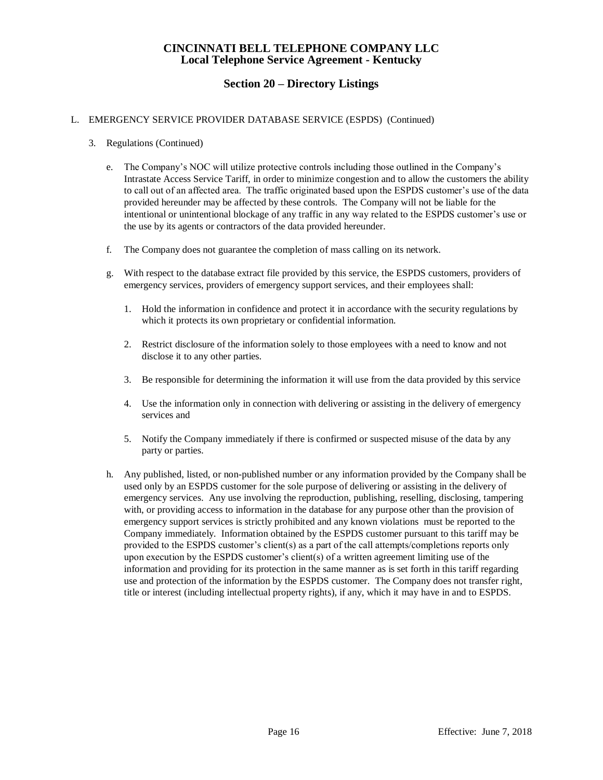## **Section 20 – Directory Listings**

#### L. EMERGENCY SERVICE PROVIDER DATABASE SERVICE (ESPDS) (Continued)

- 3. Regulations (Continued)
	- e. The Company's NOC will utilize protective controls including those outlined in the Company's Intrastate Access Service Tariff, in order to minimize congestion and to allow the customers the ability to call out of an affected area. The traffic originated based upon the ESPDS customer's use of the data provided hereunder may be affected by these controls. The Company will not be liable for the intentional or unintentional blockage of any traffic in any way related to the ESPDS customer's use or the use by its agents or contractors of the data provided hereunder.
	- f. The Company does not guarantee the completion of mass calling on its network.
	- g. With respect to the database extract file provided by this service, the ESPDS customers, providers of emergency services, providers of emergency support services, and their employees shall:
		- 1. Hold the information in confidence and protect it in accordance with the security regulations by which it protects its own proprietary or confidential information.
		- 2. Restrict disclosure of the information solely to those employees with a need to know and not disclose it to any other parties.
		- 3. Be responsible for determining the information it will use from the data provided by this service
		- 4. Use the information only in connection with delivering or assisting in the delivery of emergency services and
		- 5. Notify the Company immediately if there is confirmed or suspected misuse of the data by any party or parties.
	- h. Any published, listed, or non-published number or any information provided by the Company shall be used only by an ESPDS customer for the sole purpose of delivering or assisting in the delivery of emergency services. Any use involving the reproduction, publishing, reselling, disclosing, tampering with, or providing access to information in the database for any purpose other than the provision of emergency support services is strictly prohibited and any known violations must be reported to the Company immediately. Information obtained by the ESPDS customer pursuant to this tariff may be provided to the ESPDS customer's client(s) as a part of the call attempts/completions reports only upon execution by the ESPDS customer's client(s) of a written agreement limiting use of the information and providing for its protection in the same manner as is set forth in this tariff regarding use and protection of the information by the ESPDS customer. The Company does not transfer right, title or interest (including intellectual property rights), if any, which it may have in and to ESPDS.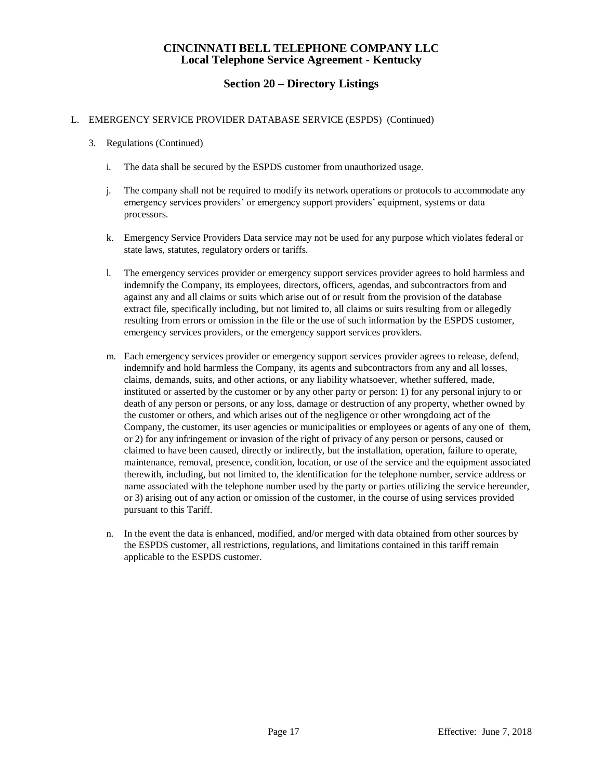### **Section 20 – Directory Listings**

#### L. EMERGENCY SERVICE PROVIDER DATABASE SERVICE (ESPDS) (Continued)

- 3. Regulations (Continued)
	- i. The data shall be secured by the ESPDS customer from unauthorized usage.
	- j. The company shall not be required to modify its network operations or protocols to accommodate any emergency services providers' or emergency support providers' equipment, systems or data processors.
	- k. Emergency Service Providers Data service may not be used for any purpose which violates federal or state laws, statutes, regulatory orders or tariffs.
	- l. The emergency services provider or emergency support services provider agrees to hold harmless and indemnify the Company, its employees, directors, officers, agendas, and subcontractors from and against any and all claims or suits which arise out of or result from the provision of the database extract file, specifically including, but not limited to, all claims or suits resulting from or allegedly resulting from errors or omission in the file or the use of such information by the ESPDS customer, emergency services providers, or the emergency support services providers.
	- m. Each emergency services provider or emergency support services provider agrees to release, defend, indemnify and hold harmless the Company, its agents and subcontractors from any and all losses, claims, demands, suits, and other actions, or any liability whatsoever, whether suffered, made, instituted or asserted by the customer or by any other party or person: 1) for any personal injury to or death of any person or persons, or any loss, damage or destruction of any property, whether owned by the customer or others, and which arises out of the negligence or other wrongdoing act of the Company, the customer, its user agencies or municipalities or employees or agents of any one of them, or 2) for any infringement or invasion of the right of privacy of any person or persons, caused or claimed to have been caused, directly or indirectly, but the installation, operation, failure to operate, maintenance, removal, presence, condition, location, or use of the service and the equipment associated therewith, including, but not limited to, the identification for the telephone number, service address or name associated with the telephone number used by the party or parties utilizing the service hereunder, or 3) arising out of any action or omission of the customer, in the course of using services provided pursuant to this Tariff.
	- n. In the event the data is enhanced, modified, and/or merged with data obtained from other sources by the ESPDS customer, all restrictions, regulations, and limitations contained in this tariff remain applicable to the ESPDS customer.